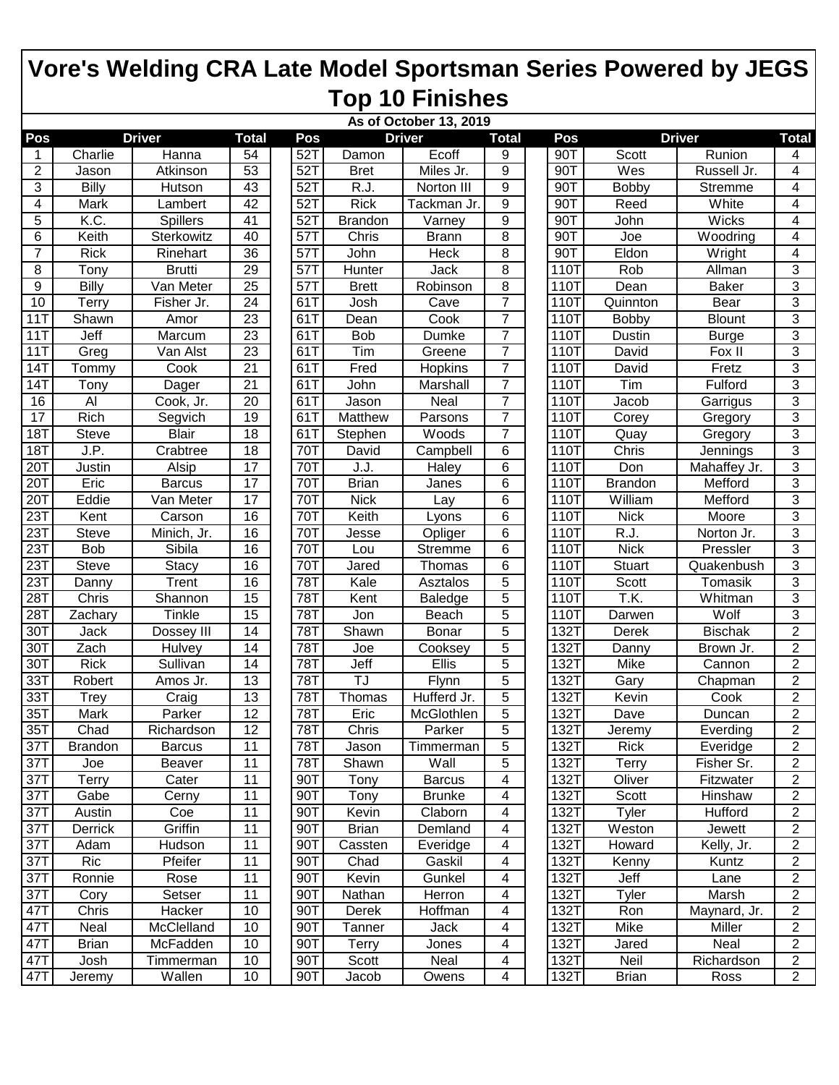|                   | As of October 13, 2019 |               |                 |     |                            |               |                |  |      |                   |                |                |
|-------------------|------------------------|---------------|-----------------|-----|----------------------------|---------------|----------------|--|------|-------------------|----------------|----------------|
| Pos               |                        | <b>Driver</b> | <b>Total</b>    | Pos |                            | <b>Driver</b> | <b>Total</b>   |  | Pos  |                   | <b>Driver</b>  | <b>Total</b>   |
| 1                 | Charlie                | Hanna         | 54              | 52T | Damon                      | Ecoff         | 9              |  | 90T  | Scott             | Runion         | 4              |
| 2                 | Jason                  | Atkinson      | $\overline{53}$ | 52T | <b>Bret</b>                | Miles Jr.     | 9              |  | 90T  | Wes               | Russell Jr.    | 4              |
| 3                 | <b>Billy</b>           | Hutson        | 43              | 52T | R.J.                       | Norton III    | 9              |  | 90T  | <b>Bobby</b>      | <b>Stremme</b> | 4              |
| 4                 | Mark                   | Lambert       | 42              | 52T | <b>Rick</b>                | Tackman Jr.   | 9              |  | 90T  | Reed              | White          | 4              |
| 5                 | K.C.                   | Spillers      | 41              | 52T | <b>Brandon</b>             | Varney        | 9              |  | 90T  | John              | <b>Wicks</b>   | 4              |
| 6                 | Keith                  | Sterkowitz    | 40              | 57T | Chris                      | <b>Brann</b>  | 8              |  | 90T  | Joe               | Woodring       | 4              |
| 7                 | <b>Rick</b>            | Rinehart      | 36              | 57T | John                       | Heck          | 8              |  | 90T  | Eldon             | Wright         | 4              |
| 8                 | Tony                   | <b>Brutti</b> | $\overline{29}$ | 57T | Hunter                     | Jack          | 8              |  | 110T | Rob               | Allman         | 3              |
| 9                 | Billy                  | Van Meter     | 25              | 57T | <b>Brett</b>               | Robinson      | 8              |  | 110T | Dean              | <b>Baker</b>   | 3              |
| 10                | Terry                  | Fisher Jr.    | 24              | 61T | Josh                       | Cave          | 7              |  | 110T | Quinnton          | Bear           | 3              |
| 11T               | Shawn                  | Amor          | 23              | 61T | Dean                       | Cook          | $\overline{7}$ |  | 110T | Bobby             | <b>Blount</b>  | 3              |
| 11T               | Jeff                   | Marcum        | 23              | 61T | <b>Bob</b>                 | Dumke         | 7              |  | 110T | Dustin            | <b>Burge</b>   | $\overline{3}$ |
| 11T               | Greg                   | Van Alst      | 23              | 61T | Tim                        | Greene        | 7              |  | 110T | David             | Fox II         | 3              |
| 14T               | Tommy                  | Cook          | 21              | 61T | Fred                       | Hopkins       | 7              |  | 110T | David             | Fretz          | 3              |
| 14T               | Tony                   | Dager         | 21              | 61T | John                       | Marshall      | 7              |  | 110T | Tim               | Fulford        | $\overline{3}$ |
| 16                | Al                     | Cook, Jr.     | 20              | 61T | Jason                      | Neal          | 7              |  | 110T | Jacob             | Garrigus       | $\overline{3}$ |
| 17                | <b>Rich</b>            | Segvich       | 19              | 61T | Matthew                    | Parsons       | 7              |  | 110T | Corey             | Gregory        | 3              |
| <b>18T</b>        | <b>Steve</b>           | <b>Blair</b>  | 18              | 61T | Stephen                    | <b>Woods</b>  | 7              |  | 110T | Quay              | Gregory        | 3              |
| 18T               | J.P.                   | Crabtree      | 18              | 70T | David                      | Campbell      | 6              |  | 110T | Chris             | Jennings       | $\overline{3}$ |
| 20T               | Justin                 | Alsip         | 17              | 70T | J.J.                       | Haley         | 6              |  | 110T | Don               | Mahaffey Jr.   | $\overline{3}$ |
| 20T               | Eric                   | <b>Barcus</b> | 17              | 70T | <b>Brian</b>               | Janes         | 6              |  | 110T | <b>Brandon</b>    | Mefford        | 3              |
| 20T               | Eddie                  | Van Meter     | 17              | 70T | <b>Nick</b>                | Lay           | 6              |  | 110T | William           | Mefford        | 3              |
| 23T               | Kent                   | Carson        | 16              | 70T | Keith                      | Lyons         | 6              |  | 110T | <b>Nick</b>       | Moore          | $\overline{3}$ |
| 23T               | <b>Steve</b>           | Minich, Jr.   | 16              | 70T | Jesse                      | Opliger       | 6              |  | 110T | $\overline{RJ}$ . | Norton Jr.     | 3              |
| $\overline{23}$ T | <b>Bob</b>             | Sibila        | 16              | 70T | Lou                        | Stremme       | 6              |  | 110T | <b>Nick</b>       | Pressler       | 3              |
| 23T               | <b>Steve</b>           | Stacy         | 16              | 70T | Jared                      | Thomas        | 6              |  | 110T | <b>Stuart</b>     | Quakenbush     | 3              |
| 23T               | Danny                  | Trent         | 16              | 78T | Kale                       | Asztalos      | 5              |  | 110T | Scott             | Tomasik        | 3              |
| 28T               | Chris                  | Shannon       | 15              | 78T | Kent                       | Baledge       | 5              |  | 110T | T.K.              | Whitman        | 3              |
| 28T               | Zachary                | Tinkle        | 15              | 78T | Jon                        | Beach         | 5              |  | 110T | Darwen            | Wolf           | 3              |
| 30T               | Jack                   | Dossey III    | 14              | 78T | Shawn                      | <b>Bonar</b>  | 5              |  | 132T | Derek             | <b>Bischak</b> | $\overline{2}$ |
| 30T               | Zach                   | <b>Hulvey</b> | 14              | 78T | Joe                        | Cooksey       | 5              |  | 132T | Danny             | Brown Jr.      | $\overline{2}$ |
| 30T               | <b>Rick</b>            | Sullivan      | 14              | 78T | Jeff                       | Ellis         | 5              |  | 132T | Mike              | Cannon         | $\overline{2}$ |
| 33T               | Robert                 | Amos Jr.      | 13              | 78T | TJ                         | Flynn         | 5              |  | 132T | Gary              | Chapman        | $\overline{2}$ |
| 33T               | Trey                   | Craig         | 13              | 78T | Thomas                     | Hufferd Jr.   | 5              |  | 132T | Kevin             | Cook           | $\overline{2}$ |
| 35T               | Mark                   | Parker        | $\overline{12}$ | 78T | Eric                       | McGlothlen    | 5              |  | 132T | Dave              | Duncan         | $\overline{2}$ |
| 35T               | Chad                   | Richardson    | 12              | 78T | $\overline{\text{Ch}}$ ris | Parker        | 5              |  | 132T | Jeremy            | Everding       | $\overline{2}$ |
| 37T               | <b>Brandon</b>         | <b>Barcus</b> | 11              | 78T | Jason                      | Timmerman     | 5              |  | 132T | <b>Rick</b>       | Everidge       | $\overline{c}$ |
| 37T               | Joe                    | Beaver        | 11              | 78T | Shawn                      | Wall          | 5              |  | 132T | Terry             | Fisher Sr.     | $\overline{2}$ |
| 37T               | Terry                  | Cater         | 11              | 90T | Tony                       | <b>Barcus</b> | 4              |  | 132T | Oliver            | Fitzwater      | $\overline{2}$ |
| 37T               | Gabe                   | Cerny         | 11              | 90T | Tony                       | <b>Brunke</b> | 4              |  | 132T | Scott             | Hinshaw        | $\overline{c}$ |
| 37T               | Austin                 | Coe           | 11              | 90T | Kevin                      | Claborn       | 4              |  | 132T | Tyler             | Hufford        | $\overline{2}$ |
| 37T               | Derrick                | Griffin       | 11              | 90T | <b>Brian</b>               | Demland       | 4              |  | 132T | Weston            | Jewett         | $\overline{2}$ |
| 37T               | Adam                   | Hudson        | 11              | 90T | Cassten                    | Everidge      | 4              |  | 132T | Howard            | Kelly, Jr.     | $\overline{2}$ |
| 37T               | Ric                    | Pfeifer       | 11              | 90T | Chad                       | Gaskil        | 4              |  | 132T | Kenny             | Kuntz          | $\overline{c}$ |
| 37T               | Ronnie                 | Rose          | 11              | 90T | Kevin                      | Gunkel        | 4              |  | 132T | Jeff              | Lane           | $\overline{2}$ |
| 37T               | Cory                   | Setser        | 11              | 90T | Nathan                     | Herron        | 4              |  | 132T | Tyler             | Marsh          | $\overline{2}$ |
| 47T               | Chris                  | Hacker        | 10              | 90T | Derek                      | Hoffman       | 4              |  | 132T | Ron               | Maynard, Jr.   | $\overline{2}$ |
| 47T               | Neal                   | McClelland    | 10              | 90T | Tanner                     | Jack          | 4              |  | 132T | Mike              | Miller         | $\overline{2}$ |
| 47T               | <b>Brian</b>           | McFadden      | 10              | 90T | Terry                      | Jones         | 4              |  | 132T | Jared             | Neal           | $\overline{2}$ |
| 47T               | Josh                   | Timmerman     | 10              | 90T | Scott                      | Neal          | 4              |  | 132T | Neil              | Richardson     | $\overline{2}$ |
| 47T               | Jeremy                 | Wallen        | 10              | 90T | Jacob                      | Owens         | 4              |  | 132T | Brian             | Ross           | $\overline{2}$ |
|                   |                        |               |                 |     |                            |               |                |  |      |                   |                |                |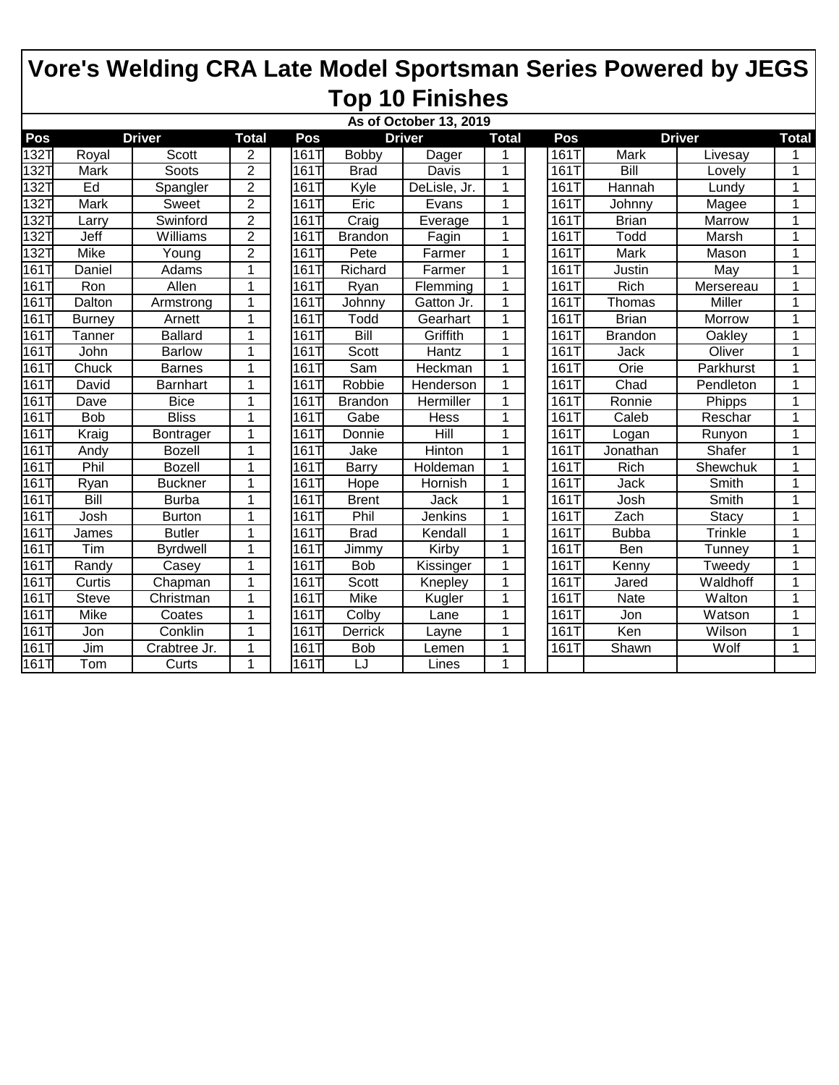|      | As of October 13, 2019<br><b>Total</b> |                 |                |                   |                |               |                |  |      |                |                         |                      |
|------|----------------------------------------|-----------------|----------------|-------------------|----------------|---------------|----------------|--|------|----------------|-------------------------|----------------------|
| Pos  | <b>Driver</b>                          |                 |                | Pos               |                | <b>Driver</b> | <b>Total</b>   |  | Pos  |                | <b>Driver</b>           | <b>Total</b>         |
| 132T | Royal                                  | <b>Scott</b>    | 2              | 161T              | Bobby          | Dager         |                |  | 161T | Mark           | Livesay                 |                      |
| 132T | Mark                                   | Soots           | $\overline{2}$ | 161T              | <b>Brad</b>    | Davis         | 1              |  | 161T | Bill           | Lovely                  | 1                    |
| 132T | Ed                                     | Spangler        | $\overline{2}$ | 1611              | Kyle           | DeLisle, Jr.  | $\mathbf{1}$   |  | 161T | Hannah         | Lundy                   | $\overline{1}$       |
| 132T | Mark                                   | Sweet           | $\overline{2}$ | 1611              | Eric           | Evans         | $\mathbf{1}$   |  | 161T | Johnny         | Magee                   | 1                    |
| 132T | Larry                                  | Swinford        | $\overline{2}$ | 1617              | Craig          | Everage       | 1              |  | 161T | <b>Brian</b>   | Marrow                  | 1                    |
| 132T | Jeff                                   | Williams        | $\overline{2}$ | 1611              | <b>Brandon</b> | Fagin         | 1              |  | 161T | Todd           | Marsh                   | 1                    |
| 132T | Mike                                   | Young           | $\overline{2}$ | 1617              | Pete           | Farmer        | $\mathbf 1$    |  | 161T | Mark           | Mason                   | 1                    |
| 161T | Daniel                                 | Adams           | 1              | 1611              | Richard        | Farmer        | $\mathbf{1}$   |  | 161T | Justin         | $\overline{\text{May}}$ | $\mathbf 1$          |
| 161T | Ron                                    | Allen           | 1              | 1611              | Ryan           | Flemming      | $\mathbf{1}$   |  | 161T | Rich           | Mersereau               | 1                    |
| 161T | Dalton                                 | Armstrong       | 1              | 161T              | Johnny         | Gatton Jr.    | $\mathbf{1}$   |  | 161T | Thomas         | Miller                  | $\blacktriangleleft$ |
| 161  | <b>Burney</b>                          | Arnett          | 1              | 161T              | Todd           | Gearhart      | 1              |  | 161T | <b>Brian</b>   | Morrow                  | 1                    |
| 161  | Tanner                                 | <b>Ballard</b>  | 1              | 1611              | Bill           | Griffith      | 1              |  | 161T | <b>Brandon</b> | <b>Oakley</b>           | 1                    |
| 161T | John                                   | <b>Barlow</b>   | 1              | 1611              | Scott          | Hantz         | $\mathbf{1}$   |  | 161T | Jack           | Oliver                  | $\overline{1}$       |
| 161T | Chuck                                  | <b>Barnes</b>   | $\mathbf{1}$   | 1611              | Sam            | Heckman       | $\mathbf{1}$   |  | 161T | Orie           | Parkhurst               | 1                    |
| 161  | David                                  | Barnhart        | 1              | 1611              | Robbie         | Henderson     | $\mathbf{1}$   |  | 161T | Chad           | Pendleton               | 1                    |
| 161  | Dave                                   | <b>Bice</b>     | 1              | 1611              | <b>Brandon</b> | Hermiller     | 1              |  | 161T | Ronnie         | Phipps                  | 1                    |
| 161T | <b>Bob</b>                             | <b>Bliss</b>    | 1              | 161T              | Gabe           | Hess          | 1              |  | 161T | Caleb          | Reschar                 | 1                    |
| 161T | Kraig                                  | Bontrager       | $\mathbf{1}$   | 1617              | Donnie         | Hill          | $\mathbf{1}$   |  | 161T | Logan          | Runyon                  | $\overline{1}$       |
| 161T | Andy                                   | <b>Bozell</b>   | $\mathbf{1}$   | 1611              | Jake           | <b>Hinton</b> | $\mathbf{1}$   |  | 161T | Jonathan       | Shafer                  | $\blacktriangleleft$ |
| 161T | Phil                                   | <b>Bozell</b>   | 1              | 1617              | <b>Barry</b>   | Holdeman      | $\mathbf{1}$   |  | 161T | Rich           | Shewchuk                | 1                    |
| 161  | Ryan                                   | <b>Buckner</b>  | 1              | 161T              | <b>Hope</b>    | Hornish       | 1              |  | 161T | Jack           | Smith                   | 1                    |
| 161  | Bill                                   | <b>Burba</b>    | 1              | 161T              | <b>Brent</b>   | Jack          | 1              |  | 161T | Josh           | Smith                   | 1                    |
| 161T | Josh                                   | <b>Burton</b>   | 1              | 1617              | Phil           | Jenkins       | 1              |  | 161T | Zach           | Stacy                   | $\overline{1}$       |
| 161T | James                                  | <b>Butler</b>   | 1              | 1611              | <b>Brad</b>    | Kendall       | $\mathbf{1}$   |  | 161T | <b>Bubba</b>   | Trinkle                 | 1                    |
| 161T | Tim                                    | <b>Byrdwell</b> | $\mathbf{1}$   | 1611              | Jimmy          | Kirby         | $\mathbf{1}$   |  | 161T | Ben            | Tunney                  | $\overline{1}$       |
| 161T | Randy                                  | Casey           | 1              | $161\overline{1}$ | Bob            | Kissinger     | 1              |  | 161T | Kenny          | Tweedy                  | 1                    |
| 161  | Curtis                                 | Chapman         | 1              | 1611              | Scott          | Knepley       | $\mathbf{1}$   |  | 161T | Jared          | Waldhoff                | 1                    |
| 161T | Steve                                  | Christman       | 1              | $161\overline{1}$ | <b>Mike</b>    | Kugler        | 1              |  | 161T | Nate           | Walton                  | $\mathbf 1$          |
| 161T | Mike                                   | Coates          | 1              | 1611              | Colby          | Lane          | 1              |  | 161T | Jon            | Watson                  | 1                    |
| 161T | Jon                                    | Conklin         | $\overline{1}$ | 161T              | <b>Derrick</b> | Layne         | $\overline{1}$ |  | 161T | Ken            | Wilson                  | $\overline{1}$       |
| 161T | Jim                                    | Crabtree Jr.    | 1              | 1611              | <b>Bob</b>     | Lemen         | $\mathbf{1}$   |  | 161T | Shawn          | Wolf                    | 1                    |
| 161T | Tom                                    | Curts           | 1              | 161T              | LJ             | Lines         | 1              |  |      |                |                         |                      |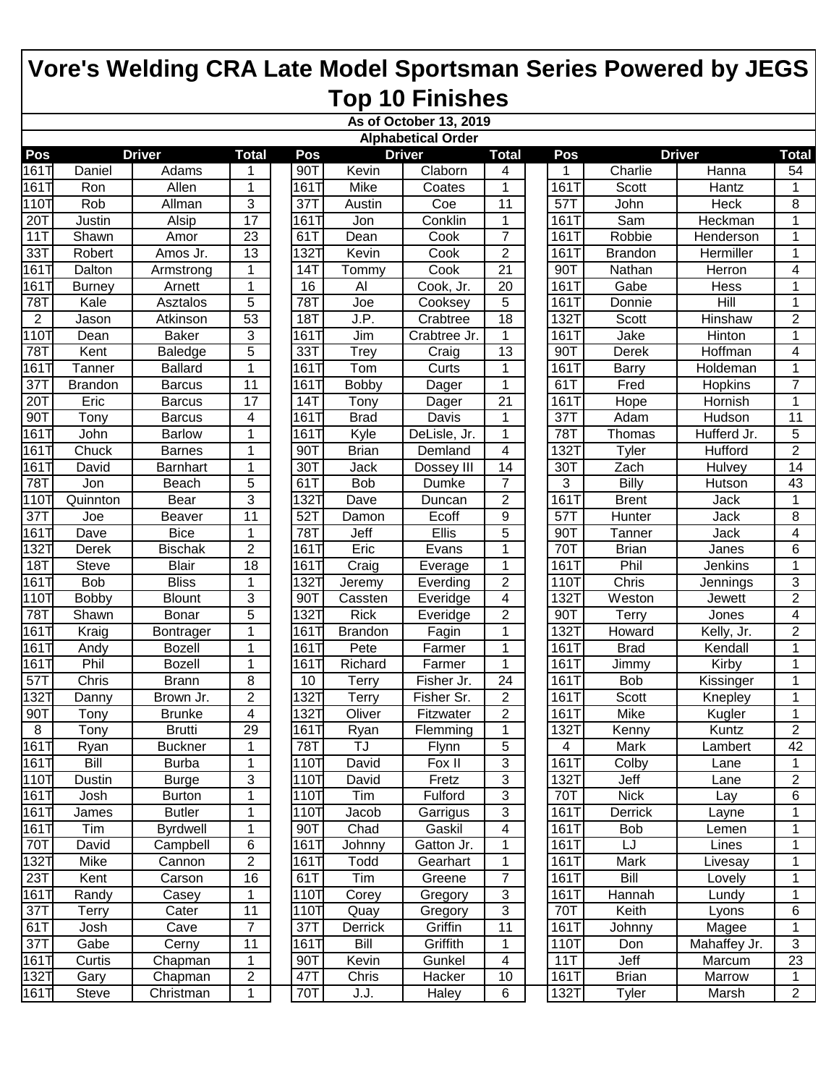|                   |                           |                 |                 |                  |                | As of October 13, 2019 |                         |  |             |                |               |                  |  |
|-------------------|---------------------------|-----------------|-----------------|------------------|----------------|------------------------|-------------------------|--|-------------|----------------|---------------|------------------|--|
|                   | <b>Alphabetical Order</b> |                 |                 |                  |                |                        |                         |  |             |                |               |                  |  |
| Pos               |                           | <b>Driver</b>   | <b>Total</b>    | Pos              |                | <b>Driver</b>          | <b>Total</b>            |  | Pos         |                | <b>Driver</b> | <b>Total</b>     |  |
| 161T              | Daniel                    | Adams           | 1               | 90T              | Kevin          | Claborn                | 4                       |  | 1           | Charlie        | Hanna         | 54               |  |
| 161T              | Ron                       | Allen           | 1               | 161T             | Mike           | Coates                 | 1                       |  | 161T        | Scott          | Hantz         | $\mathbf{1}$     |  |
| 110T              | Rob                       | Allman          | 3               | 37T              | Austin         | Coe                    | 11                      |  | 57T         | John           | Heck          | 8                |  |
| 20T               | Justin                    | Alsip           | $\overline{17}$ | 161T             | Jon            | Conklin                | 1                       |  | 161T        | Sam            | Heckman       | 1                |  |
| 11T               | Shawn                     | Amor            | $\overline{23}$ | 61T              | Dean           | Cook                   | $\overline{7}$          |  | 1611        | Robbie         | Henderson     | 1                |  |
| 33T               | Robert                    | Amos Jr.        | 13              | 1321             | Kevin          | Cook                   | $\overline{2}$          |  | 1617        | <b>Brandon</b> | Hermiller     | 1                |  |
| 161T              | Dalton                    | Armstrong       | 1               | 14T              | Tommy          | Cook                   | $\overline{21}$         |  | 90T         | Nathan         | Herron        | 4                |  |
| 161T              | <b>Burney</b>             | Arnett          | $\mathbf{1}$    | 16               | Al             | Cook, Jr.              | 20                      |  | 161T        | Gabe           | Hess          | 1                |  |
| 78T               | Kale                      | Asztalos        | 5               | 78T              | Joe            | Cooksey                | 5                       |  | 1617        | Donnie         | Hill          | $\mathbf{1}$     |  |
| $\overline{2}$    | Jason                     | Atkinson        | 53              | <b>18T</b>       | J.P.           | Crabtree               | 18                      |  | 1321        | Scott          | Hinshaw       | $\overline{2}$   |  |
| 110T              | Dean                      | <b>Baker</b>    | 3               | 1611             | Jim            | Crabtree Jr.           | 1                       |  | 161T        | Jake           | Hinton        | 1                |  |
| $\overline{78}$ T | Kent                      | <b>Baledge</b>  | 5               | 33T              | Trey           | Craig                  | 13                      |  | 90T         | Derek          | Hoffman       | 4                |  |
| 161T              | Tanner                    | <b>Ballard</b>  | 1               | 161T             | Tom            | Curts                  | 1                       |  | 161T        | <b>Barry</b>   | Holdeman      | 1                |  |
| 37T               | <b>Brandon</b>            | <b>Barcus</b>   | 11              | 1611             | <b>Bobby</b>   | Dager                  | 1                       |  | 61T         | Fred           | Hopkins       | $\overline{7}$   |  |
| 20T               | Eric                      | <b>Barcus</b>   | 17              | 14T              | Tony           | Dager                  | 21                      |  | 161T        | Hope           | Hornish       | 1                |  |
| 90T               | Tony                      | <b>Barcus</b>   | 4               | 1611             | <b>Brad</b>    | Davis                  | 1                       |  | 37T         | Adam           | Hudson        | 11               |  |
| 161T              | John                      | <b>Barlow</b>   | 1               | 1611             | Kyle           | DeLisle, Jr.           | 1                       |  | 78T         | Thomas         | Hufferd Jr.   | 5                |  |
| 161T              | Chuck                     | <b>Barnes</b>   | 1               | 90T              | <b>Brian</b>   | Demland                | 4                       |  | 1321        | Tyler          | Hufford       | $\boldsymbol{2}$ |  |
| 161T              | David                     | Barnhart        | 1               | 30T              | Jack           | Dossey III             | 14                      |  | 30T         | Zach           | <b>Hulvey</b> | $\overline{14}$  |  |
| 78T               | Jon                       | Beach           | 5               | 61T              | <b>Bob</b>     | Dumke                  | $\overline{7}$          |  | 3           | Billy          | Hutson        | 43               |  |
| 110T              | Quinnton                  | Bear            | 3               | 1321             | Dave           | Duncan                 | $\overline{2}$          |  | 1611        | <b>Brent</b>   | Jack          | $\mathbf 1$      |  |
| 37T               | Joe                       | Beaver          | 11              | 52T              | Damon          | Ecoff                  | 9                       |  | 57T         | Hunter         | Jack          | 8                |  |
| 161T              | Dave                      | <b>Bice</b>     | $\mathbf 1$     | 78T              | Jeff           | Ellis                  | 5                       |  | 90T         | Tanner         | Jack          | 4                |  |
| 132T              | Derek                     | <b>Bischak</b>  | $\overline{2}$  | 1611             | Eric           | Evans                  | 1                       |  | 70T         | <b>Brian</b>   | Janes         | 6                |  |
| <b>18T</b>        | <b>Steve</b>              | <b>Blair</b>    | 18              | 161T             | Craig          | Everage                | 1                       |  | 161T        | Phil           | Jenkins       | $\mathbf{1}$     |  |
| 161T              | <b>Bob</b>                | <b>Bliss</b>    | 1               | 1321             | Jeremy         | Everding               | $\overline{2}$          |  | 1101        | Chris          | Jennings      | 3                |  |
| 110T              | <b>Bobby</b>              | <b>Blount</b>   | 3               | 90T              | Cassten        | Everidge               | $\overline{\mathbf{4}}$ |  | 1321        | Weston         | Jewett        | $\overline{c}$   |  |
| 78T               | Shawn                     | Bonar           | 5               | 1321             | <b>Rick</b>    | Everidge               | $\overline{2}$          |  | 90T         | Terry          | Jones         | 4                |  |
| 161T              | Kraig                     | Bontrager       | 1               | 1611             | <b>Brandon</b> | Fagin                  | 1                       |  | 1327        | Howard         | Kelly, Jr.    | $\overline{2}$   |  |
| 161T              | Andy                      | <b>Bozell</b>   | 1               | 161T             | Pete           | Farmer                 | 1                       |  | 161T        | <b>Brad</b>    | Kendall       | 1                |  |
| 161T              | Phil                      | <b>Bozell</b>   | $\mathbf 1$     | 1611             | Richard        | Farmer                 | 1                       |  | 161T        | Jimmy          | Kirby         | $\mathbf{1}$     |  |
| 57T               | Chris                     | <b>Brann</b>    | 8               | 10               | Terry          | Fisher Jr.             | 24                      |  | 161T        | <b>Bob</b>     | Kissinger     | 1                |  |
| 132T              | Danny                     | Brown Jr.       | $\mathbf 2$     | 1321             | Terry          | Fisher Sr.             | $\overline{2}$          |  | 161T        | Scott          | Knepley       | $\mathbf{1}$     |  |
| 90T               | Tony                      | <b>Brunke</b>   | 4               | 1321             | Oliver         | Fitzwater              | $\overline{2}$          |  | 161T        | Mike           | Kugler        | 1                |  |
| $\overline{8}$    | Tony                      | <b>Brutti</b>   | 29              | 161T             | Ryan           | Flemming               | 1                       |  | 132T        | Kenny          | Kuntz         | $\overline{2}$   |  |
| 161T              | Ryan                      | <b>Buckner</b>  | 1               | 78T              | TJ             | <b>Flynn</b>           | 5                       |  | 4           | Mark           | Lambert       | 42               |  |
| 161T              | Bill                      | <b>Burba</b>    | $\mathbf{1}$    | 110T             | David          | Fox II                 | 3                       |  | 161T        | Colby          | Lane          | 1                |  |
| 110T              | Dustin                    | <b>Burge</b>    | 3               | 110T             | David          | Fretz                  | 3                       |  | <b>132T</b> | Jeff           | Lane          | $\overline{2}$   |  |
| 161T              | Josh                      | <b>Burton</b>   | 1               | 110T             | Tim            | Fulford                | 3                       |  | 70T         | <b>Nick</b>    | Lay           | 6                |  |
| 161T              | James                     | <b>Butler</b>   | $\mathbf 1$     | 110T             | Jacob          | Garrigus               | 3                       |  | 161T        | Derrick        | Layne         | 1                |  |
| 161T              | Tim                       | <b>Byrdwell</b> | $\mathbf 1$     | 90 <sup>T</sup>  | Chad           | Gaskil                 | 4                       |  | 161T        | Bob            | Lemen         | 1                |  |
| 70T               | David                     | Campbell        | 6               | 161T             | Johnny         | Gatton Jr.             | 1                       |  | 161T        | LJ             | Lines         | 1                |  |
| 132T              | Mike                      | Cannon          | $\overline{2}$  | 161T             | Todd           | Gearhart               | 1                       |  | 161T        | Mark           | Livesay       | 1                |  |
| 23T               | Kent                      | Carson          | 16              | 61T              | Tim            | Greene                 | $\overline{7}$          |  | 161T        | Bill           | Lovely        | 1                |  |
| 161T              | Randy                     | Casey           | $\mathbf 1$     | 110T             | Corey          | Gregory                | 3                       |  | 161T        | Hannah         | Lundy         | 1                |  |
| 37T               | Terry                     | Cater           | 11              | 110T             | Quay           | Gregory                | $\overline{3}$          |  | 70T         | Keith          | Lyons         | 6                |  |
| 61T               | Josh                      | Cave            | $\overline{7}$  | $37\overline{T}$ | Derrick        | Griffin                | 11                      |  | 161T        | Johnny         | Magee         | 1                |  |
| 37T               | Gabe                      | Cerny           | 11              | 161T             | Bill           | Griffith               | 1                       |  | 110T        | Don            | Mahaffey Jr.  | $\mathbf{3}$     |  |
| 161T              | Curtis                    | Chapman         | $\mathbf 1$     | 90T              | Kevin          | Gunkel                 | 4                       |  | 11T         | Jeff           | Marcum        | 23               |  |
| 132T              | Gary                      | Chapman         | $\mathbf{2}$    | 47T              | Chris          | Hacker                 | 10                      |  | 161T        | <b>Brian</b>   | Marrow        | 1                |  |
| 161T              | Steve                     | Christman       | $\mathbf 1$     | 70T              | J.J.           | Haley                  | 6                       |  | 132T        | Tyler          | Marsh         | 2 <sup>7</sup>   |  |